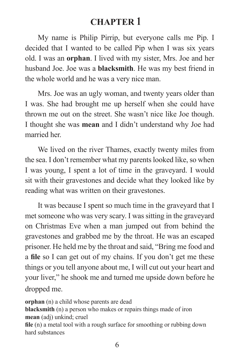# **CHAPTER 1**

 My name is Philip Pirrip, but everyone calls me Pip. I decided that I wanted to be called Pip when I was six years old. I was an **orphan**. I lived with my sister, Mrs. Joe and her husband Joe. Joe was a **blacksmith**. He was my best friend in the whole world and he was a very nice man.

 Mrs. Joe was an ugly woman, and twenty years older than I was. She had brought me up herself when she could have thrown me out on the street. She wasn't nice like Joe though. I thought she was **mean** and I didn't understand why Joe had married her.

 We lived on the river Thames, exactly twenty miles from the sea. I don't remember what my parents looked like, so when I was young, I spent a lot of time in the graveyard. I would sit with their gravestones and decide what they looked like by reading what was written on their gravestones.

 It was because I spent so much time in the graveyard that I met someone who was very scary. I was sitting in the graveyard on Christmas Eve when a man jumped out from behind the gravestones and grabbed me by the throat. He was an escaped prisoner. He held me by the throat and said, "Bring me food and a **file** so I can get out of my chains. If you don't get me these things or you tell anyone about me, I will cut out your heart and your liver," he shook me and turned me upside down before he dropped me.

**orphan** (n) a child whose parents are dead **blacksmith** (n) a person who makes or repairs things made of iron **mean** (adj) unkind; cruel **file** (n) a metal tool with a rough surface for smoothing or rubbing down hard substances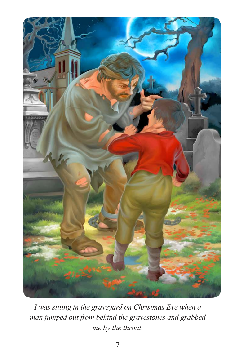

*I was sitting in the graveyard on Christmas Eve when a man jumped out from behind the gravestones and grabbed me by the throat.*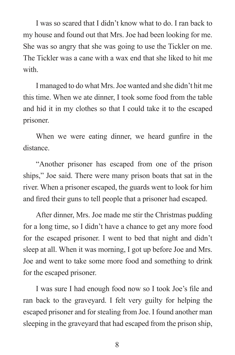I was so scared that I didn't know what to do. I ran back to my house and found out that Mrs. Joe had been looking for me. She was so angry that she was going to use the Tickler on me. The Tickler was a cane with a wax end that she liked to hit me with.

 I managed to do what Mrs. Joe wanted and she didn't hit me this time. When we ate dinner, I took some food from the table and hid it in my clothes so that I could take it to the escaped prisoner.

When we were eating dinner, we heard gunfire in the distance.

 "Another prisoner has escaped from one of the prison ships," Joe said. There were many prison boats that sat in the river. When a prisoner escaped, the guards went to look for him and fired their guns to tell people that a prisoner had escaped.

 After dinner, Mrs. Joe made me stir the Christmas pudding for a long time, so I didn't have a chance to get any more food for the escaped prisoner. I went to bed that night and didn't sleep at all. When it was morning, I got up before Joe and Mrs. Joe and went to take some more food and something to drink for the escaped prisoner.

I was sure I had enough food now so I took Joe's file and ran back to the graveyard. I felt very guilty for helping the escaped prisoner and for stealing from Joe. I found another man sleeping in the graveyard that had escaped from the prison ship,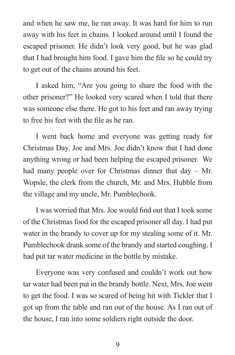and when he saw me, he ran away. It was hard for him to run away with his feet in chains. I looked around until I found the escaped prisoner. He didn't look very good, but he was glad that I had brought him food. I gave him the file so he could try to get out of the chains around his feet.

 I asked him, "Are you going to share the food with the other prisoner?" He looked very scared when I told that there was someone else there. He got to his feet and ran away trying to free his feet with the file as he ran.

 I went back home and everyone was getting ready for Christmas Day. Joe and Mrs. Joe didn't know that I had done anything wrong or had been helping the escaped prisoner. We had many people over for Christmas dinner that day – Mr. Wopsle, the clerk from the church, Mr. and Mrs. Hubble from the village and my uncle, Mr. Pumblechook.

I was worried that Mrs. Joe would find out that I took some of the Christmas food for the escaped prisoner all day. I had put water in the brandy to cover up for my stealing some of it. Mr. Pumblechook drank some of the brandy and started coughing. I had put tar water medicine in the bottle by mistake.

 Everyone was very confused and couldn't work out how tar water had been put in the brandy bottle. Next, Mrs. Joe went to get the food. I was so scared of being hit with Tickler that I got up from the table and ran out of the house. As I ran out of the house, I ran into some soldiers right outside the door.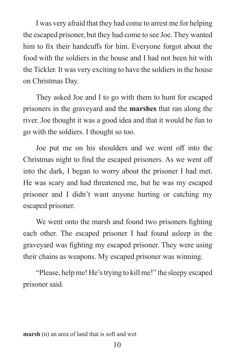I was very afraid that they had come to arrest me for helping the escaped prisoner, but they had come to see Joe. They wanted him to fix their handcuffs for him. Everyone forgot about the food with the soldiers in the house and I had not been hit with the Tickler. It was very exciting to have the soldiers in the house on Christmas Day.

 They asked Joe and I to go with them to hunt for escaped prisoners in the graveyard and the **marshes** that ran along the river. Joe thought it was a good idea and that it would be fun to go with the soldiers. I thought so too.

Joe put me on his shoulders and we went off into the Christmas night to find the escaped prisoners. As we went off into the dark, I began to worry about the prisoner I had met. He was scary and had threatened me, but he was my escaped prisoner and I didn't want anyone hurting or catching my escaped prisoner.

We went onto the marsh and found two prisoners fighting each other. The escaped prisoner I had found asleep in the graveyard was fighting my escaped prisoner. They were using their chains as weapons. My escaped prisoner was winning.

 "Please, help me! He's trying to kill me!" the sleepy escaped prisoner said.

**marsh** (n) an area of land that is soft and wet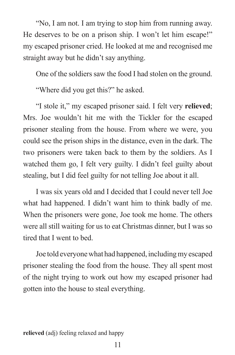"No, I am not. I am trying to stop him from running away. He deserves to be on a prison ship. I won't let him escape!" my escaped prisoner cried. He looked at me and recognised me straight away but he didn't say anything.

One of the soldiers saw the food I had stolen on the ground.

"Where did you get this?" he asked.

 "I stole it," my escaped prisoner said. I felt very **relieved**; Mrs. Joe wouldn't hit me with the Tickler for the escaped prisoner stealing from the house. From where we were, you could see the prison ships in the distance, even in the dark. The two prisoners were taken back to them by the soldiers. As I watched them go, I felt very guilty. I didn't feel guilty about stealing, but I did feel guilty for not telling Joe about it all.

 I was six years old and I decided that I could never tell Joe what had happened. I didn't want him to think badly of me. When the prisoners were gone, Joe took me home. The others were all still waiting for us to eat Christmas dinner, but I was so tired that I went to bed.

 Joe told everyone what had happened, including my escaped prisoner stealing the food from the house. They all spent most of the night trying to work out how my escaped prisoner had gotten into the house to steal everything.

**relieved** (adj) feeling relaxed and happy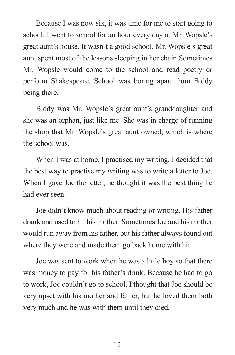Because I was now six, it was time for me to start going to school. I went to school for an hour every day at Mr. Wopsle's great aunt's house. It wasn't a good school. Mr. Wopsle's great aunt spent most of the lessons sleeping in her chair. Sometimes Mr. Wopsle would come to the school and read poetry or perform Shakespeare. School was boring apart from Biddy being there.

 Biddy was Mr. Wopsle's great aunt's granddaughter and she was an orphan, just like me. She was in charge of running the shop that Mr. Wopsle's great aunt owned, which is where the school was.

 When I was at home, I practised my writing. I decided that the best way to practise my writing was to write a letter to Joe. When I gave Joe the letter, he thought it was the best thing he had ever seen.

 Joe didn't know much about reading or writing. His father drank and used to hit his mother. Sometimes Joe and his mother would run away from his father, but his father always found out where they were and made them go back home with him.

 Joe was sent to work when he was a little boy so that there was money to pay for his father's drink. Because he had to go to work, Joe couldn't go to school. I thought that Joe should be very upset with his mother and father, but he loved them both very much and he was with them until they died.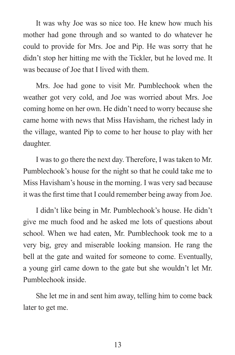It was why Joe was so nice too. He knew how much his mother had gone through and so wanted to do whatever he could to provide for Mrs. Joe and Pip. He was sorry that he didn't stop her hitting me with the Tickler, but he loved me. It was because of Joe that I lived with them.

 Mrs. Joe had gone to visit Mr. Pumblechook when the weather got very cold, and Joe was worried about Mrs. Joe coming home on her own. He didn't need to worry because she came home with news that Miss Havisham, the richest lady in the village, wanted Pip to come to her house to play with her daughter.

 I was to go there the next day. Therefore, I was taken to Mr. Pumblechook's house for the night so that he could take me to Miss Havisham's house in the morning. I was very sad because it was the first time that I could remember being away from Joe.

 I didn't like being in Mr. Pumblechook's house. He didn't give me much food and he asked me lots of questions about school. When we had eaten, Mr. Pumblechook took me to a very big, grey and miserable looking mansion. He rang the bell at the gate and waited for someone to come. Eventually, a young girl came down to the gate but she wouldn't let Mr. Pumblechook inside.

 She let me in and sent him away, telling him to come back later to get me.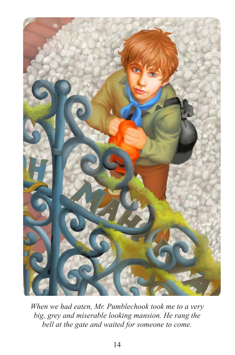

*When we had eaten, Mr. Pumblechook took me to a very big, grey and miserable looking mansion. He rang the bell at the gate and waited for someone to come.*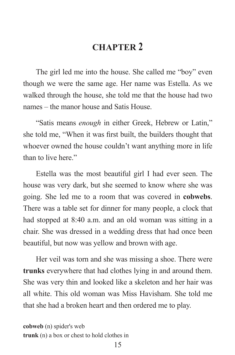# **CHAPTER 2**

 The girl led me into the house. She called me "boy" even though we were the same age. Her name was Estella. As we walked through the house, she told me that the house had two names – the manor house and Satis House.

 "Satis means *enough* in either Greek, Hebrew or Latin," she told me, "When it was first built, the builders thought that whoever owned the house couldn't want anything more in life than to live here."

 Estella was the most beautiful girl I had ever seen. The house was very dark, but she seemed to know where she was going. She led me to a room that was covered in **cobwebs**. There was a table set for dinner for many people, a clock that had stopped at 8:40 a.m. and an old woman was sitting in a chair. She was dressed in a wedding dress that had once been beautiful, but now was yellow and brown with age.

 Her veil was torn and she was missing a shoe. There were **trunks** everywhere that had clothes lying in and around them. She was very thin and looked like a skeleton and her hair was all white. This old woman was Miss Havisham. She told me that she had a broken heart and then ordered me to play.

**cobweb** (n) spider's web **trunk** (n) a box or chest to hold clothes in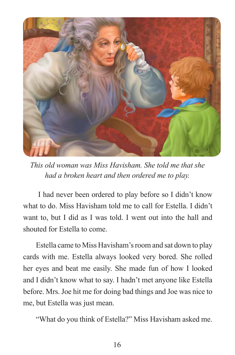

*This old woman was Miss Havisham. She told me that she had a broken heart and then ordered me to play.* 

 I had never been ordered to play before so I didn't know what to do. Miss Havisham told me to call for Estella. I didn't want to, but I did as I was told. I went out into the hall and shouted for Estella to come.

 Estella came to Miss Havisham's room and sat down to play cards with me. Estella always looked very bored. She rolled her eyes and beat me easily. She made fun of how I looked and I didn't know what to say. I hadn't met anyone like Estella before. Mrs. Joe hit me for doing bad things and Joe was nice to me, but Estella was just mean.

"What do you think of Estella?" Miss Havisham asked me.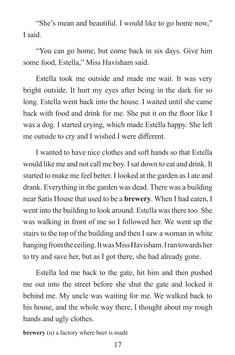"She's mean and beautiful. I would like to go home now," I said.

 "You can go home, but come back in six days. Give him some food, Estella," Miss Havisham said.

 Estella took me outside and made me wait. It was very bright outside. It hurt my eyes after being in the dark for so long. Estella went back into the house. I waited until she came back with food and drink for me. She put it on the floor like I was a dog. I started crying, which made Estella happy. She left me outside to cry and I wished I were different.

 I wanted to have nice clothes and soft hands so that Estella would like me and not call me boy. I sat down to eat and drink. It started to make me feel better. I looked at the garden as I ate and drank. Everything in the garden was dead. There was a building near Satis House that used to be a **brewery**. When I had eaten, I went into the building to look around. Estella was there too. She was walking in front of me so I followed her. We went up the stairs to the top of the building and then I saw a woman in white hanging from the ceiling. It was Miss Havisham. I ran towards her to try and save her, but as I got there, she had already gone.

 Estella led me back to the gate, hit him and then pushed me out into the street before she shut the gate and locked it behind me. My uncle was waiting for me. We walked back to his house, and the whole way there, I thought about my rough hands and ugly clothes.

**brewery** (n) a factory where beer is made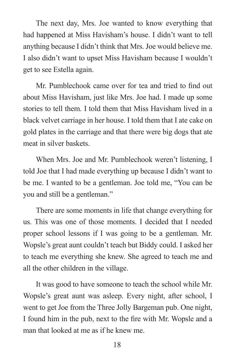The next day, Mrs. Joe wanted to know everything that had happened at Miss Havisham's house. I didn't want to tell anything because I didn't think that Mrs. Joe would believe me. I also didn't want to upset Miss Havisham because I wouldn't get to see Estella again.

Mr. Pumblechook came over for tea and tried to find out about Miss Havisham, just like Mrs. Joe had. I made up some stories to tell them. I told them that Miss Havisham lived in a black velvet carriage in her house. I told them that I ate cake on gold plates in the carriage and that there were big dogs that ate meat in silver baskets.

 When Mrs. Joe and Mr. Pumblechook weren't listening, I told Joe that I had made everything up because I didn't want to be me. I wanted to be a gentleman. Joe told me, "You can be you and still be a gentleman."

 There are some moments in life that change everything for us. This was one of those moments. I decided that I needed proper school lessons if I was going to be a gentleman. Mr. Wopsle's great aunt couldn't teach but Biddy could. I asked her to teach me everything she knew. She agreed to teach me and all the other children in the village.

 It was good to have someone to teach the school while Mr. Wopsle's great aunt was asleep. Every night, after school, I went to get Joe from the Three Jolly Bargeman pub. One night, I found him in the pub, next to the fire with Mr. Wopsle and a man that looked at me as if he knew me.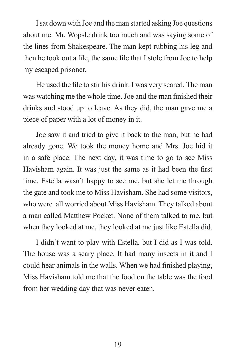I sat down with Joe and the man started asking Joe questions about me. Mr. Wopsle drink too much and was saying some of the lines from Shakespeare. The man kept rubbing his leg and then he took out a file, the same file that I stole from Joe to help my escaped prisoner.

He used the file to stir his drink. I was very scared. The man was watching me the whole time. Joe and the man finished their drinks and stood up to leave. As they did, the man gave me a piece of paper with a lot of money in it.

 Joe saw it and tried to give it back to the man, but he had already gone. We took the money home and Mrs. Joe hid it in a safe place. The next day, it was time to go to see Miss Havisham again. It was just the same as it had been the first time. Estella wasn't happy to see me, but she let me through the gate and took me to Miss Havisham. She had some visitors, who were all worried about Miss Havisham. They talked about a man called Matthew Pocket. None of them talked to me, but when they looked at me, they looked at me just like Estella did.

 I didn't want to play with Estella, but I did as I was told. The house was a scary place. It had many insects in it and I could hear animals in the walls. When we had finished playing, Miss Havisham told me that the food on the table was the food from her wedding day that was never eaten.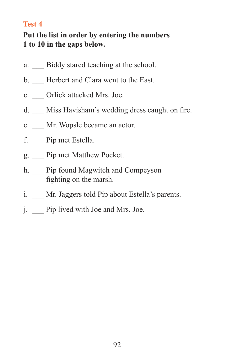### **Test 4**

### **Put the list in order by entering the numbers 1 to 10 in the gaps below.**

- a. Biddy stared teaching at the school.
- b. Herbert and Clara went to the East.
- c. Orlick attacked Mrs. Joe.
- d. Miss Havisham's wedding dress caught on fire.
- e. Mr. Wopsle became an actor.
- f. \_\_\_ Pip met Estella.
- g. \_\_\_ Pip met Matthew Pocket.
- h. Pip found Magwitch and Compeyson fighting on the marsh.
- i. Mr. Jaggers told Pip about Estella's parents.
- j. Pip lived with Joe and Mrs. Joe.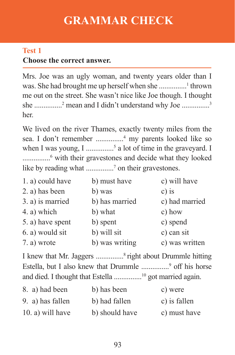# **GRAMMAR CHECK**

## **Choose the correct answer. Test 1**

Mrs. Joe was an ugly woman, and twenty years older than I was. She had brought me up herself when she ...............<sup>1</sup> thrown me out on the street. She wasn't nice like Joe though. I thought she ..............<sup>2</sup> mean and I didn't understand why Joe ...............<sup>3</sup> her.

We lived on the river Thames, exactly twenty miles from the sea. I don't remember ...............<sup>4</sup> my parents looked like so when I was young, I ................<sup>5</sup> a lot of time in the graveyard. I ...............<sup>6</sup> with their gravestones and decide what they looked like by reading what ...............<sup>7</sup> on their gravestones.

| 1. a) could have | b) must have   | c) will have   |
|------------------|----------------|----------------|
| 2. a) has been   | b) was         | $c)$ is        |
| 3. a) is married | b) has married | c) had married |
| 4. a) which      | b) what        | c) how         |
| 5. a) have spent | b) spent       | c) spend       |
| 6. a) would sit  | b) will sit    | c) can sit     |
| 7. a) wrote      | b) was writing | c) was written |

I knew that Mr. Jaggers ...............<sup>8</sup>right about Drummle hitting Estella, but I also knew that Drummle ................<sup>9</sup> off his horse and died. I thought that Estella ............... <sup>10</sup> got married again.

| 8. a) had been      | b) has been    | c) were      |
|---------------------|----------------|--------------|
| 9. a) has fallen    | b) had fallen  | c) is fallen |
| $(10. a)$ will have | b) should have | c) must have |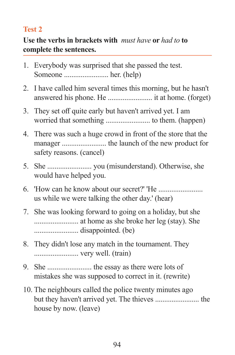### **Test 2**

### **Use the verbs in brackets with** *must have* **or** *had to* **to complete the sentences.**

- 1. Everybody was surprised that she passed the test. Someone ........................ her. (help)
- 2. I have called him several times this morning, but he hasn't answered his phone. He ........................ it at home. (forget)
- 3. They set off quite early but haven't arrived yet. I am worried that something ........................ to them. (happen)
- 4. There was such a huge crowd in front of the store that the manager ........................ the launch of the new product for safety reasons. (cancel)
- 5. She ........................ you (misunderstand). Otherwise, she would have helped you.
- 6. 'How can he know about our secret?' 'He ........................ us while we were talking the other day.' (hear)
- 7. She was looking forward to going on a holiday, but she ........................ at home as she broke her leg (stay). She ........................ disappointed. (be)
- 8. They didn't lose any match in the tournament. They ........................ very well. (train)
- 9. She ........................ the essay as there were lots of mistakes she was supposed to correct in it. (rewrite)
- 10. The neighbours called the police twenty minutes ago but they haven't arrived yet. The thieves ........................ the house by now. (leave)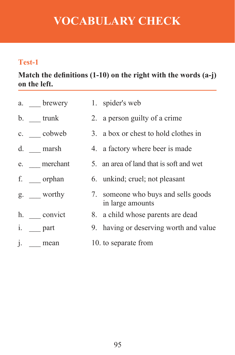# **VOCABULARY CHECK**

## **Test-1**

**Match the definitions (1-10) on the right with the words (a-j) on the left.**

| a. brewery    | 1. spider's web                                         |
|---------------|---------------------------------------------------------|
| b. trunk      | 2. a person guilty of a crime                           |
| c. cobweb     | 3. a box or chest to hold clothes in                    |
| d. marsh      | 4. a factory where beer is made                         |
| e. merchant   | 5. an area of land that is soft and wet                 |
| f. ___ orphan | 6. unkind; cruel; not pleasant                          |
| g. worthy     | 7. someone who buys and sells goods<br>in large amounts |
| h. convict    | 8. a child whose parents are dead                       |
| i. part       | 9. having or deserving worth and value                  |
| j. mean       | 10. to separate from                                    |